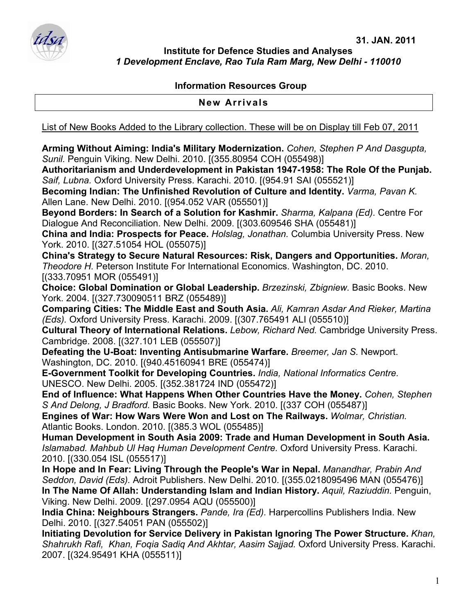

**Institute for Defence Studies and Analyses**  *1 Development Enclave, Rao Tula Ram Marg, New Delhi - 110010* 

## **Information Resources Group**

**New Arrivals** 

List of New Books Added to the Library collection. These will be on Display till Feb 07, 2011

**Arming Without Aiming: India's Military Modernization.** *Cohen, Stephen P And Dasgupta, Sunil.* Penguin Viking. New Delhi. 2010. [(355.80954 COH (055498)]

**Authoritarianism and Underdevelopment in Pakistan 1947-1958: The Role Of the Punjab.**  *Saif, Lubna.* Oxford University Press. Karachi. 2010. [(954.91 SAI (055521)]

**Becoming Indian: The Unfinished Revolution of Culture and Identity.** *Varma, Pavan K.*  Allen Lane. New Delhi. 2010. [(954.052 VAR (055501)]

**Beyond Borders: In Search of a Solution for Kashmir.** *Sharma, Kalpana (Ed).* Centre For Dialogue And Reconciliation. New Delhi. 2009. [(303.609546 SHA (055481)]

**China and India: Prospects for Peace.** *Holslag, Jonathan.* Columbia University Press. New York. 2010. [(327.51054 HOL (055075)]

**China's Strategy to Secure Natural Resources: Risk, Dangers and Opportunities.** *Moran, Theodore H.* Peterson Institute For International Economics. Washington, DC. 2010. [(333.70951 MOR (055491)]

**Choice: Global Domination or Global Leadership.** *Brzezinski, Zbigniew.* Basic Books. New York. 2004. [(327.730090511 BRZ (055489)]

**Comparing Cities: The Middle East and South Asia.** *Ali, Kamran Asdar And Rieker, Martina (Eds).* Oxford University Press. Karachi. 2009. [(307.765491 ALI (055510)]

**Cultural Theory of International Relations.** *Lebow, Richard Ned.* Cambridge University Press. Cambridge. 2008. [(327.101 LEB (055507)]

**Defeating the U-Boat: Inventing Antisubmarine Warfare.** *Breemer, Jan S.* Newport. Washington, DC. 2010. [(940.45160941 BRE (055474)]

**E-Government Toolkit for Developing Countries.** *India, National Informatics Centre.*  UNESCO. New Delhi. 2005. [(352.381724 IND (055472)]

**End of Influence: What Happens When Other Countries Have the Money.** *Cohen, Stephen S And Delong, J Bradford.* Basic Books. New York. 2010. [(337 COH (055487)]

**Engines of War: How Wars Were Won and Lost on The Railways.** *Wolmar, Christian.*  Atlantic Books. London. 2010. [(385.3 WOL (055485)]

**Human Development in South Asia 2009: Trade and Human Development in South Asia.**  *Islamabad. Mahbub Ul Haq Human Development Centre.* Oxford University Press. Karachi. 2010. [(330.054 ISL (055517)]

**In Hope and In Fear: Living Through the People's War in Nepal.** *Manandhar, Prabin And Seddon, David (Eds).* Adroit Publishers. New Delhi. 2010. [(355.0218095496 MAN (055476)] **In The Name Of Allah: Understanding Islam and Indian History.** *Aquil, Raziuddin.* Penguin,

Viking. New Delhi. 2009. [(297.0954 AQU (055500)] **India China: Neighbours Strangers.** *Pande, Ira (Ed).* Harpercollins Publishers India. New Delhi. 2010. [(327.54051 PAN (055502)]

**Initiating Devolution for Service Delivery in Pakistan Ignoring The Power Structure.** *Khan, Shahrukh Rafi, Khan, Foqia Sadiq And Akhtar, Aasim Sajjad.* Oxford University Press. Karachi. 2007. [(324.95491 KHA (055511)]